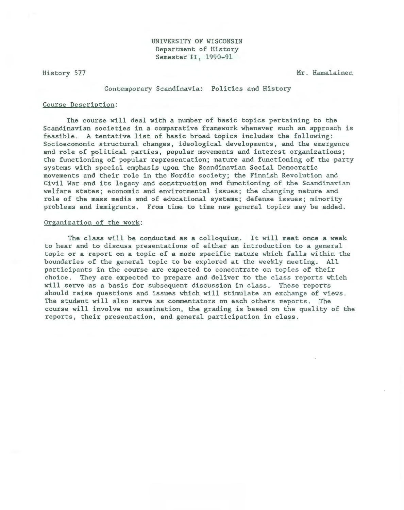History 577 Mr. Hamalainen

Contemporary Scandinavia: Politics and History

## Course Description:

The course will deal with a number of basic topics pertaining to the Scandinavian societies in a comparative framework whenever such an approach is feasible. A tentative list of basic broad topics includes the following: Socioeconomic structural changes, ideological developments, and the emergence and role of political parties, popular movements and interest organizations; the functioning of popular representation; nature and functioning of the party systems with special emphasis upon the Scandinavian Social Democratic movements and their role in the Nordic society; the Finnish Revolution and Civil War and its legacy and construction and functioning of the Scandinavian welfare states; economic and environmental issues; the changing nature and role of the mass media and of educational systems; defense issues; minority problems and immigrants. From time to time new general topics may be added.

## Organization of the work:

The class will be conducted as a colloquium. It will meet once a week to hear and to discuss presentations of either an introduction to a general topic or a report on a topic of a more specific nature which falls within the boundaries of the general topic to be explored at the weekly meeting. All participants in the course are expected to concentrate on topics of their choice. They are expected to prepare and deliver to the class reports which will serve as a basis for subsequent discussion in class. These reports should raise questions and issues which will stimulate an exchange of views . The student will also serve as commentators on each others reports. The course will involve no examination, the grading is based on the quality of the reports, their presentation, and general participation in class .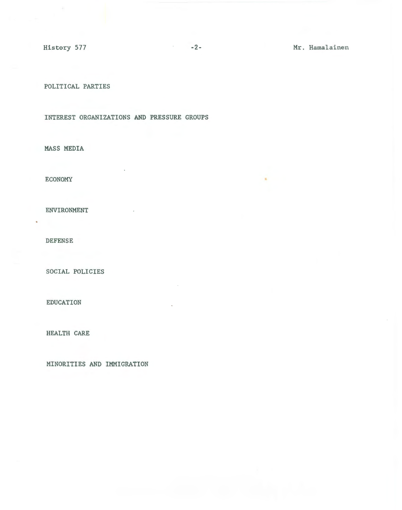POLITICAL PARTIES

INTEREST ORGANIZATIONS AND PRESSURE GROUPS

MASS MEDIA

ECONOMY

ENVIRONMENT

DEFENSE

SOCIAL POLICIES

EDUCATION

HEALTH CARE

MINORITIES AND IMMIGRATION